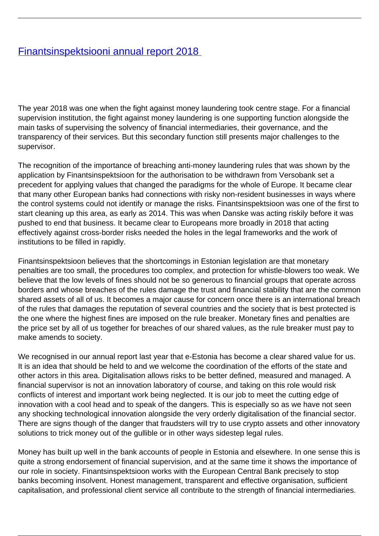## <span id="page-0-0"></span>[Finantsinspektsiooni annual report 2018](/en/publications/finantsinspektsiooni-annual-report-2018)

The year 2018 was one when the fight against money laundering took centre stage. For a financial supervision institution, the fight against money laundering is one supporting function alongside the main tasks of supervising the solvency of financial intermediaries, their governance, and the transparency of their services. But this secondary function still presents major challenges to the supervisor.

The recognition of the importance of breaching anti-money laundering rules that was shown by the application by Finantsinspektsioon for the authorisation to be withdrawn from Versobank set a precedent for applying values that changed the paradigms for the whole of Europe. It became clear that many other European banks had connections with risky non-resident businesses in ways where the control systems could not identify or manage the risks. Finantsinspektsioon was one of the first to start cleaning up this area, as early as 2014. This was when Danske was acting riskily before it was pushed to end that business. It became clear to Europeans more broadly in 2018 that acting effectively against cross-border risks needed the holes in the legal frameworks and the work of institutions to be filled in rapidly.

Finantsinspektsioon believes that the shortcomings in Estonian legislation are that monetary penalties are too small, the procedures too complex, and protection for whistle-blowers too weak. We believe that the low levels of fines should not be so generous to financial groups that operate across borders and whose breaches of the rules damage the trust and financial stability that are the common shared assets of all of us. It becomes a major cause for concern once there is an international breach of the rules that damages the reputation of several countries and the society that is best protected is the one where the highest fines are imposed on the rule breaker. Monetary fines and penalties are the price set by all of us together for breaches of our shared values, as the rule breaker must pay to make amends to society.

We recognised in our annual report last year that e-Estonia has become a clear shared value for us. It is an idea that should be held to and we welcome the coordination of the efforts of the state and other actors in this area. Digitalisation allows risks to be better defined, measured and managed. A financial supervisor is not an innovation laboratory of course, and taking on this role would risk conflicts of interest and important work being neglected. It is our job to meet the cutting edge of innovation with a cool head and to speak of the dangers. This is especially so as we have not seen any shocking technological innovation alongside the very orderly digitalisation of the financial sector. There are signs though of the danger that fraudsters will try to use crypto assets and other innovatory solutions to trick money out of the gullible or in other ways sidestep legal rules.

Money has built up well in the bank accounts of people in Estonia and elsewhere. In one sense this is quite a strong endorsement of financial supervision, and at the same time it shows the importance of our role in society. Finantsinspektsioon works with the European Central Bank precisely to stop banks becoming insolvent. Honest management, transparent and effective organisation, sufficient capitalisation, and professional client service all contribute to the strength of financial intermediaries.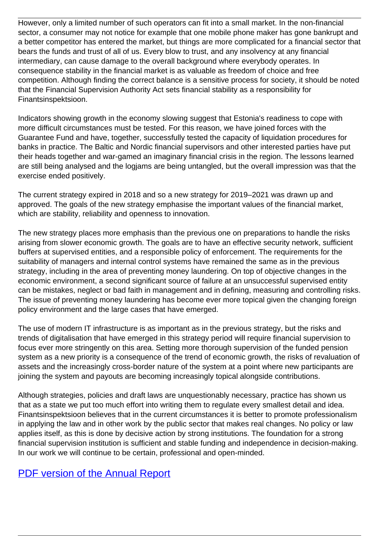However, only a limited number of such operators can fit into a small market. In the non-financial sector, a consumer may not notice for example that one mobile phone maker has gone bankrupt and a better competitor has entered the market, but things are more complicated for a financial sector that bears the funds and trust of all of us. Every blow to trust, and any insolvency at any financial intermediary, can cause damage to the overall background where everybody operates. In consequence stability in the financial market is as valuable as freedom of choice and free competition. Although finding the correct balance is a sensitive process for society, it should be noted that the Financial Supervision Authority Act sets financial stability as a responsibility for Finantsinspektsioon.

Indicators showing growth in the economy slowing suggest that Estonia's readiness to cope with more difficult circumstances must be tested. For this reason, we have joined forces with the Guarantee Fund and have, together, successfully tested the capacity of liquidation procedures for banks in practice. The Baltic and Nordic financial supervisors and other interested parties have put their heads together and war-gamed an imaginary financial crisis in the region. The lessons learned are still being analysed and the logjams are being untangled, but the overall impression was that the exercise ended positively.

The current strategy expired in 2018 and so a new strategy for 2019–2021 was drawn up and approved. The goals of the new strategy emphasise the important values of the financial market, which are stability, reliability and openness to innovation.

The new strategy places more emphasis than the previous one on preparations to handle the risks arising from slower economic growth. The goals are to have an effective security network, sufficient buffers at supervised entities, and a responsible policy of enforcement. The requirements for the suitability of managers and internal control systems have remained the same as in the previous strategy, including in the area of preventing money laundering. On top of objective changes in the economic environment, a second significant source of failure at an unsuccessful supervised entity can be mistakes, neglect or bad faith in management and in defining, measuring and controlling risks. The issue of preventing money laundering has become ever more topical given the changing foreign policy environment and the large cases that have emerged.

The use of modern IT infrastructure is as important as in the previous strategy, but the risks and trends of digitalisation that have emerged in this strategy period will require financial supervision to focus ever more stringently on this area. Setting more thorough supervision of the funded pension system as a new priority is a consequence of the trend of economic growth, the risks of revaluation of assets and the increasingly cross-border nature of the system at a point where new participants are joining the system and payouts are becoming increasingly topical alongside contributions.

Although strategies, policies and draft laws are unquestionably necessary, practice has shown us that as a state we put too much effort into writing them to regulate every smallest detail and idea. Finantsinspektsioon believes that in the current circumstances it is better to promote professionalism in applying the law and in other work by the public sector that makes real changes. No policy or law applies itself, as this is done by decisive action by strong institutions. The foundation for a strong financial supervision institution is sufficient and stable funding and independence in decision-making. In our work we will continue to be certain, professional and open-minded.

## [PDF version of the Annual Report](#page-0-0)